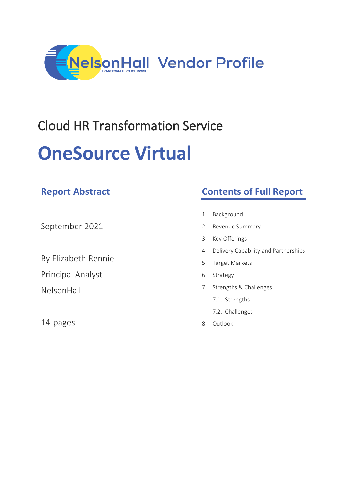

# Cloud HR Transformation Service **OneSource Virtual**

|                          | 1. |
|--------------------------|----|
| September 2021           | 2. |
|                          | 3. |
| By Elizabeth Rennie      | 4. |
|                          | 5. |
| <b>Principal Analyst</b> | 6. |
| <b>NelsonHall</b>        | 7. |

14-pages

**Report Abstract**

## **Contents of Full Report**

- **Background**
- Revenue Summary
- Key Offerings
- Delivery Capability and Partnerships
- 5. Target Markets
- Strategy
- Strengths & Challenges
	- 7.1. Strengths
	- 7.2. Challenges
- 8. Outlook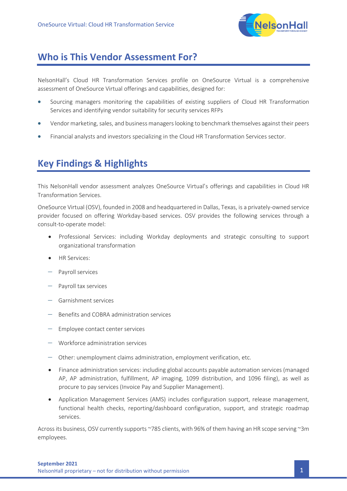

### **Who is This Vendor Assessment For?**

NelsonHall's Cloud HR Transformation Services profile on OneSource Virtual is a comprehensive assessment of OneSource Virtual offerings and capabilities, designed for:

- Sourcing managers monitoring the capabilities of existing suppliers of Cloud HR Transformation Services and identifying vendor suitability for security services RFPs
- Vendor marketing, sales, and business managers looking to benchmark themselves against their peers
- Financial analysts and investors specializing in the Cloud HR Transformation Services sector.

## **Key Findings & Highlights**

This NelsonHall vendor assessment analyzes OneSource Virtual's offerings and capabilities in Cloud HR Transformation Services.

OneSource Virtual (OSV), founded in 2008 and headquartered in Dallas, Texas, is a privately-owned service provider focused on offering Workday-based services. OSV provides the following services through a consult-to-operate model:

- Professional Services: including Workday deployments and strategic consulting to support organizational transformation
- **HR Services:**
- − Payroll services
- − Payroll tax services
- − Garnishment services
- Benefits and COBRA administration services
- Employee contact center services
- − Workforce administration services
- − Other: unemployment claims administration, employment verification, etc.
- Finance administration services: including global accounts payable automation services (managed AP, AP administration, fulfillment, AP imaging, 1099 distribution, and 1096 filing), as well as procure to pay services (Invoice Pay and Supplier Management).
- Application Management Services (AMS) includes configuration support, release management, functional health checks, reporting/dashboard configuration, support, and strategic roadmap services.

Across its business, OSV currently supports ~785 clients, with 96% of them having an HR scope serving ~3m employees.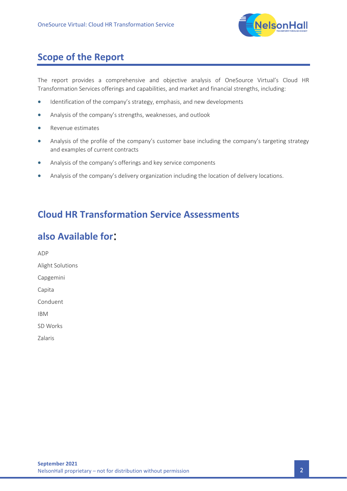

## **Scope of the Report**

The report provides a comprehensive and objective analysis of OneSource Virtual's Cloud HR Transformation Services offerings and capabilities, and market and financial strengths, including:

- Identification of the company's strategy, emphasis, and new developments
- Analysis of the company's strengths, weaknesses, and outlook
- Revenue estimates
- Analysis of the profile of the company's customer base including the company's targeting strategy and examples of current contracts
- Analysis of the company's offerings and key service components
- Analysis of the company's delivery organization including the location of delivery locations.

## **Cloud HR Transformation Service Assessments**

## **also Available for**:

ADP Alight Solutions Capgemini Capita Conduent IBM SD Works Zalaris